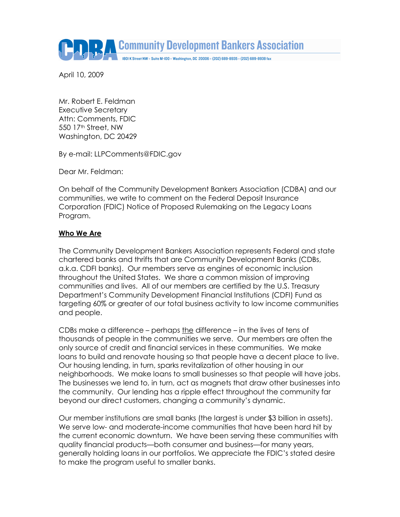**ARTICOMMUNITY Development Bankers Association** 

1801 K Street NW = Suite M-100 = Washington, DC 20006 = (202) 689-8935 = (202) 689-8938 fax

April 10, 2009

Mr. Robert E. Feldman Executive Secretary Attn: Comments, FDIC 550 17th Street, NW Washington, DC 20429

By e-mail: LLPComments@FDIC.gov

Dear Mr. Feldman:

On behalf of the Community Development Bankers Association (CDBA) and our communities, we write to comment on the Federal Deposit Insurance Corporation (FDIC) Notice of Proposed Rulemaking on the Legacy Loans Program.

## Who We Are

The Community Development Bankers Association represents Federal and state chartered banks and thrifts that are Community Development Banks (CDBs, a.k.a. CDFI banks). Our members serve as engines of economic inclusion throughout the United States. We share a common mission of improving communities and lives. All of our members are certified by the U.S. Treasury Department's Community Development Financial Institutions (CDFI) Fund as targeting 60% or greater of our total business activity to low income communities and people.

CDBs make a difference – perhaps the difference – in the lives of tens of thousands of people in the communities we serve. Our members are often the only source of credit and financial services in these communities. We make loans to build and renovate housing so that people have a decent place to live. Our housing lending, in turn, sparks revitalization of other housing in our neighborhoods. We make loans to small businesses so that people will have jobs. The businesses we lend to, in turn, act as magnets that draw other businesses into the community. Our lending has a ripple effect throughout the community far beyond our direct customers, changing a community's dynamic.

Our member institutions are small banks (the largest is under \$3 billion in assets). We serve low- and moderate-income communities that have been hard hit by the current economic downturn. We have been serving these communities with quality financial products—both consumer and business—for many years, generally holding loans in our portfolios. We appreciate the FDIC's stated desire to make the program useful to smaller banks.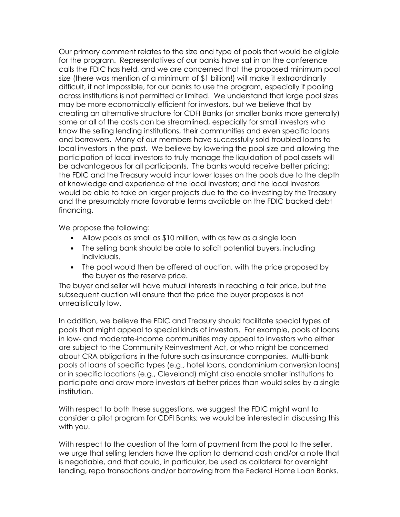Our primary comment relates to the size and type of pools that would be eligible for the program. Representatives of our banks have sat in on the conference calls the FDIC has held, and we are concerned that the proposed minimum pool size (there was mention of a minimum of \$1 billion!) will make it extraordinarily difficult, if not impossible, for our banks to use the program, especially if pooling across institutions is not permitted or limited. We understand that large pool sizes may be more economically efficient for investors, but we believe that by creating an alternative structure for CDFI Banks (or smaller banks more generally) some or all of the costs can be streamlined, especially for small investors who know the selling lending institutions, their communities and even specific loans and borrowers. Many of our members have successfully sold troubled loans to local investors in the past. We believe by lowering the pool size and allowing the participation of local investors to truly manage the liquidation of pool assets will be advantageous for all participants. The banks would receive better pricing; the FDIC and the Treasury would incur lower losses on the pools due to the depth of knowledge and experience of the local investors; and the local investors would be able to take on larger projects due to the co-investing by the Treasury and the presumably more favorable terms available on the FDIC backed debt financing.

We propose the following:

- Allow pools as small as \$10 million, with as few as a single loan
- The selling bank should be able to solicit potential buyers, including individuals.
- The pool would then be offered at auction, with the price proposed by the buyer as the reserve price.

The buyer and seller will have mutual interests in reaching a fair price, but the subsequent auction will ensure that the price the buyer proposes is not unrealistically low.

In addition, we believe the FDIC and Treasury should facilitate special types of pools that might appeal to special kinds of investors. For example, pools of loans in low- and moderate-income communities may appeal to investors who either are subject to the Community Reinvestment Act, or who might be concerned about CRA obligations in the future such as insurance companies. Multi-bank pools of loans of specific types (e.g., hotel loans, condominium conversion loans) or in specific locations (e.g., Cleveland) might also enable smaller institutions to participate and draw more investors at better prices than would sales by a single institution.

With respect to both these suggestions, we suggest the FDIC might want to consider a pilot program for CDFI Banks; we would be interested in discussing this with you.

With respect to the question of the form of payment from the pool to the seller, we urge that selling lenders have the option to demand cash and/or a note that is negotiable, and that could, in particular, be used as collateral for overnight lending, repo transactions and/or borrowing from the Federal Home Loan Banks.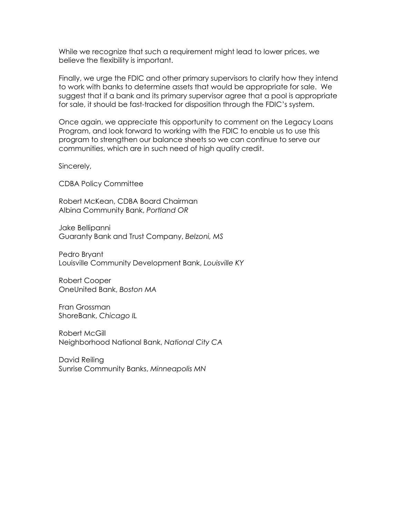While we recognize that such a requirement might lead to lower prices, we believe the flexibility is important.

Finally, we urge the FDIC and other primary supervisors to clarify how they intend to work with banks to determine assets that would be appropriate for sale. We suggest that if a bank and its primary supervisor agree that a pool is appropriate for sale, it should be fast-tracked for disposition through the FDIC's system.

Once again, we appreciate this opportunity to comment on the Legacy Loans Program, and look forward to working with the FDIC to enable us to use this program to strengthen our balance sheets so we can continue to serve our communities, which are in such need of high quality credit.

Sincerely,

CDBA Policy Committee

Robert McKean, CDBA Board Chairman Albina Community Bank, Portland OR

Jake Bellipanni Guaranty Bank and Trust Company, Belzoni, MS

Pedro Bryant Louisville Community Development Bank, Louisville KY

Robert Cooper OneUnited Bank, Boston MA

Fran Grossman ShoreBank, Chicago IL

Robert McGill Neighborhood National Bank, National City CA

David Reiling Sunrise Community Banks, Minneapolis MN